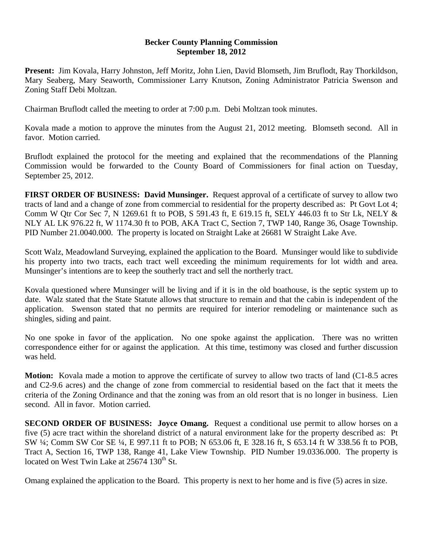## **Becker County Planning Commission September 18, 2012**

**Present:** Jim Kovala, Harry Johnston, Jeff Moritz, John Lien, David Blomseth, Jim Bruflodt, Ray Thorkildson, Mary Seaberg, Mary Seaworth, Commissioner Larry Knutson, Zoning Administrator Patricia Swenson and Zoning Staff Debi Moltzan.

Chairman Bruflodt called the meeting to order at 7:00 p.m. Debi Moltzan took minutes.

Kovala made a motion to approve the minutes from the August 21, 2012 meeting. Blomseth second. All in favor. Motion carried.

Bruflodt explained the protocol for the meeting and explained that the recommendations of the Planning Commission would be forwarded to the County Board of Commissioners for final action on Tuesday, September 25, 2012.

**FIRST ORDER OF BUSINESS: David Munsinger.** Request approval of a certificate of survey to allow two tracts of land and a change of zone from commercial to residential for the property described as: Pt Govt Lot 4; Comm W Qtr Cor Sec 7, N 1269.61 ft to POB, S 591.43 ft, E 619.15 ft, SELY 446.03 ft to Str Lk, NELY & NLY AL LK 976.22 ft, W 1174.30 ft to POB, AKA Tract C, Section 7, TWP 140, Range 36, Osage Township. PID Number 21.0040.000. The property is located on Straight Lake at 26681 W Straight Lake Ave.

Scott Walz, Meadowland Surveying, explained the application to the Board. Munsinger would like to subdivide his property into two tracts, each tract well exceeding the minimum requirements for lot width and area. Munsinger's intentions are to keep the southerly tract and sell the northerly tract.

Kovala questioned where Munsinger will be living and if it is in the old boathouse, is the septic system up to date. Walz stated that the State Statute allows that structure to remain and that the cabin is independent of the application. Swenson stated that no permits are required for interior remodeling or maintenance such as shingles, siding and paint.

No one spoke in favor of the application. No one spoke against the application. There was no written correspondence either for or against the application. At this time, testimony was closed and further discussion was held.

**Motion:** Kovala made a motion to approve the certificate of survey to allow two tracts of land (C1-8.5 acres and C2-9.6 acres) and the change of zone from commercial to residential based on the fact that it meets the criteria of the Zoning Ordinance and that the zoning was from an old resort that is no longer in business. Lien second. All in favor. Motion carried.

**SECOND ORDER OF BUSINESS:** Joyce Omang. Request a conditional use permit to allow horses on a five (5) acre tract within the shoreland district of a natural environment lake for the property described as: Pt SW ¼; Comm SW Cor SE ¼, E 997.11 ft to POB; N 653.06 ft, E 328.16 ft, S 653.14 ft W 338.56 ft to POB, Tract A, Section 16, TWP 138, Range 41, Lake View Township. PID Number 19.0336.000. The property is located on West Twin Lake at  $25674 \overline{130^{th}}$  St.

Omang explained the application to the Board. This property is next to her home and is five (5) acres in size.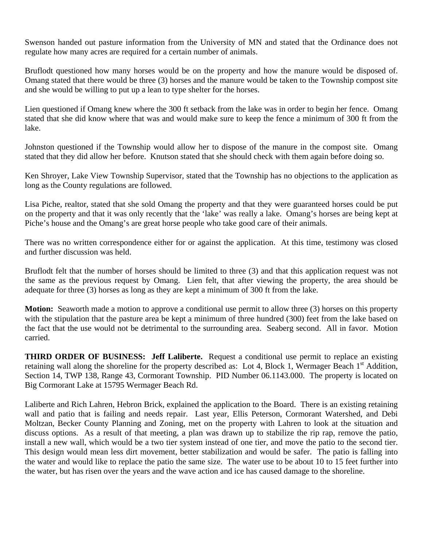Swenson handed out pasture information from the University of MN and stated that the Ordinance does not regulate how many acres are required for a certain number of animals.

Bruflodt questioned how many horses would be on the property and how the manure would be disposed of. Omang stated that there would be three (3) horses and the manure would be taken to the Township compost site and she would be willing to put up a lean to type shelter for the horses.

Lien questioned if Omang knew where the 300 ft setback from the lake was in order to begin her fence. Omang stated that she did know where that was and would make sure to keep the fence a minimum of 300 ft from the lake.

Johnston questioned if the Township would allow her to dispose of the manure in the compost site. Omang stated that they did allow her before. Knutson stated that she should check with them again before doing so.

Ken Shroyer, Lake View Township Supervisor, stated that the Township has no objections to the application as long as the County regulations are followed.

Lisa Piche, realtor, stated that she sold Omang the property and that they were guaranteed horses could be put on the property and that it was only recently that the 'lake' was really a lake. Omang's horses are being kept at Piche's house and the Omang's are great horse people who take good care of their animals.

There was no written correspondence either for or against the application. At this time, testimony was closed and further discussion was held.

Bruflodt felt that the number of horses should be limited to three (3) and that this application request was not the same as the previous request by Omang. Lien felt, that after viewing the property, the area should be adequate for three (3) horses as long as they are kept a minimum of 300 ft from the lake.

**Motion:** Seaworth made a motion to approve a conditional use permit to allow three (3) horses on this property with the stipulation that the pasture area be kept a minimum of three hundred (300) feet from the lake based on the fact that the use would not be detrimental to the surrounding area. Seaberg second. All in favor. Motion carried.

**THIRD ORDER OF BUSINESS: Jeff Laliberte.** Request a conditional use permit to replace an existing retaining wall along the shoreline for the property described as: Lot 4, Block 1, Wermager Beach 1<sup>st</sup> Addition, Section 14, TWP 138, Range 43, Cormorant Township. PID Number 06.1143.000. The property is located on Big Cormorant Lake at 15795 Wermager Beach Rd.

Laliberte and Rich Lahren, Hebron Brick, explained the application to the Board. There is an existing retaining wall and patio that is failing and needs repair. Last year, Ellis Peterson, Cormorant Watershed, and Debi Moltzan, Becker County Planning and Zoning, met on the property with Lahren to look at the situation and discuss options. As a result of that meeting, a plan was drawn up to stabilize the rip rap, remove the patio, install a new wall, which would be a two tier system instead of one tier, and move the patio to the second tier. This design would mean less dirt movement, better stabilization and would be safer. The patio is falling into the water and would like to replace the patio the same size. The water use to be about 10 to 15 feet further into the water, but has risen over the years and the wave action and ice has caused damage to the shoreline.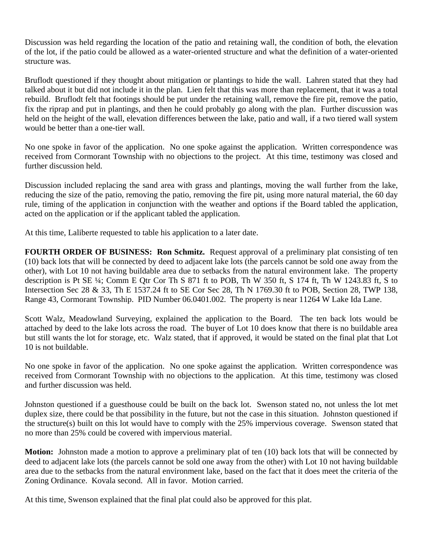Discussion was held regarding the location of the patio and retaining wall, the condition of both, the elevation of the lot, if the patio could be allowed as a water-oriented structure and what the definition of a water-oriented structure was.

Bruflodt questioned if they thought about mitigation or plantings to hide the wall. Lahren stated that they had talked about it but did not include it in the plan. Lien felt that this was more than replacement, that it was a total rebuild. Bruflodt felt that footings should be put under the retaining wall, remove the fire pit, remove the patio, fix the riprap and put in plantings, and then he could probably go along with the plan. Further discussion was held on the height of the wall, elevation differences between the lake, patio and wall, if a two tiered wall system would be better than a one-tier wall.

No one spoke in favor of the application. No one spoke against the application. Written correspondence was received from Cormorant Township with no objections to the project. At this time, testimony was closed and further discussion held.

Discussion included replacing the sand area with grass and plantings, moving the wall further from the lake, reducing the size of the patio, removing the patio, removing the fire pit, using more natural material, the 60 day rule, timing of the application in conjunction with the weather and options if the Board tabled the application, acted on the application or if the applicant tabled the application.

At this time, Laliberte requested to table his application to a later date.

**FOURTH ORDER OF BUSINESS: Ron Schmitz.** Request approval of a preliminary plat consisting of ten (10) back lots that will be connected by deed to adjacent lake lots (the parcels cannot be sold one away from the other), with Lot 10 not having buildable area due to setbacks from the natural environment lake. The property description is Pt SE ¼; Comm E Qtr Cor Th S 871 ft to POB, Th W 350 ft, S 174 ft, Th W 1243.83 ft, S to Intersection Sec 28 & 33, Th E 1537.24 ft to SE Cor Sec 28, Th N 1769.30 ft to POB, Section 28, TWP 138, Range 43, Cormorant Township. PID Number 06.0401.002. The property is near 11264 W Lake Ida Lane.

Scott Walz, Meadowland Surveying, explained the application to the Board. The ten back lots would be attached by deed to the lake lots across the road. The buyer of Lot 10 does know that there is no buildable area but still wants the lot for storage, etc. Walz stated, that if approved, it would be stated on the final plat that Lot 10 is not buildable.

No one spoke in favor of the application. No one spoke against the application. Written correspondence was received from Cormorant Township with no objections to the application. At this time, testimony was closed and further discussion was held.

Johnston questioned if a guesthouse could be built on the back lot. Swenson stated no, not unless the lot met duplex size, there could be that possibility in the future, but not the case in this situation. Johnston questioned if the structure(s) built on this lot would have to comply with the 25% impervious coverage. Swenson stated that no more than 25% could be covered with impervious material.

**Motion:** Johnston made a motion to approve a preliminary plat of ten (10) back lots that will be connected by deed to adjacent lake lots (the parcels cannot be sold one away from the other) with Lot 10 not having buildable area due to the setbacks from the natural environment lake, based on the fact that it does meet the criteria of the Zoning Ordinance. Kovala second. All in favor. Motion carried.

At this time, Swenson explained that the final plat could also be approved for this plat.